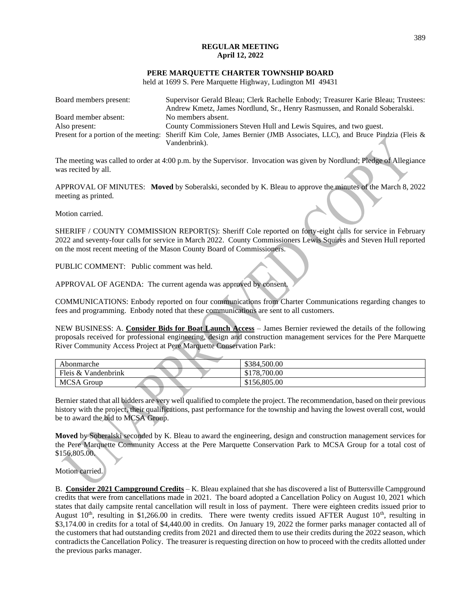## **REGULAR MEETING April 12, 2022**

#### **PERE MARQUETTE CHARTER TOWNSHIP BOARD**

held at 1699 S. Pere Marquette Highway, Ludington MI 49431

| Board members present: | Supervisor Gerald Bleau; Clerk Rachelle Enbody; Treasurer Karie Bleau; Trustees:                                        |  |
|------------------------|-------------------------------------------------------------------------------------------------------------------------|--|
|                        | Andrew Kmetz, James Nordlund, Sr., Henry Rasmussen, and Ronald Soberalski.                                              |  |
| Board member absent:   | No members absent.                                                                                                      |  |
| Also present:          | County Commissioners Steven Hull and Lewis Squires, and two guest.                                                      |  |
|                        | Present for a portion of the meeting: Sheriff Kim Cole, James Bernier (JMB Associates, LLC), and Bruce Pindzia (Fleis & |  |
|                        | Vandenbrink).                                                                                                           |  |

The meeting was called to order at 4:00 p.m. by the Supervisor. Invocation was given by Nordlund; Pledge of Allegiance was recited by all.

APPROVAL OF MINUTES: **Moved** by Soberalski, seconded by K. Bleau to approve the minutes of the March 8, 2022 meeting as printed.

Motion carried.

SHERIFF / COUNTY COMMISSION REPORT(S): Sheriff Cole reported on forty-eight calls for service in February 2022 and seventy-four calls for service in March 2022. County Commissioners Lewis Squires and Steven Hull reported on the most recent meeting of the Mason County Board of Commissioners.

PUBLIC COMMENT: Public comment was held.

APPROVAL OF AGENDA: The current agenda was approved by consent.

COMMUNICATIONS: Enbody reported on four communications from Charter Communications regarding changes to fees and programming. Enbody noted that these communications are sent to all customers.

NEW BUSINESS: A. **Consider Bids for Boat Launch Access** – James Bernier reviewed the details of the following proposals received for professional engineering, design and construction management services for the Pere Marquette River Community Access Project at Pere Marquette Conservation Park:

| Abonmarche          | \$384,500.00 |
|---------------------|--------------|
| Fleis & Vandenbrink | \$178,700.00 |
| <b>MCSA Group</b>   | \$156,805.00 |

Bernier stated that all bidders are very well qualified to complete the project. The recommendation, based on their previous history with the project, their qualifications, past performance for the township and having the lowest overall cost, would be to award the bid to MCSA Group.

**Moved** by Soberalski seconded by K. Bleau to award the engineering, design and construction management services for the Pere Marquette Community Access at the Pere Marquette Conservation Park to MCSA Group for a total cost of \$156,805.00.

### Motion carried.

B. **Consider 2021 Campground Credits** – K. Bleau explained that she has discovered a list of Buttersville Campground credits that were from cancellations made in 2021. The board adopted a Cancellation Policy on August 10, 2021 which states that daily campsite rental cancellation will result in loss of payment. There were eighteen credits issued prior to August  $10<sup>th</sup>$ , resulting in \$1,266.00 in credits. There were twenty credits issued AFTER August  $10<sup>th</sup>$ , resulting in \$3,174.00 in credits for a total of \$4,440.00 in credits. On January 19, 2022 the former parks manager contacted all of the customers that had outstanding credits from 2021 and directed them to use their credits during the 2022 season, which contradicts the Cancellation Policy. The treasurer is requesting direction on how to proceed with the credits allotted under the previous parks manager.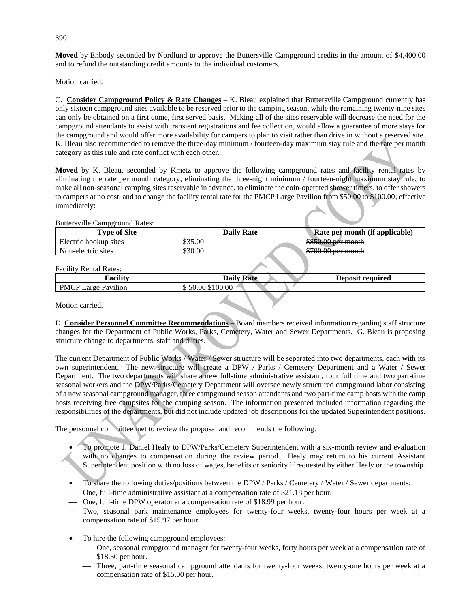**Moved** by Enbody seconded by Nordlund to approve the Buttersville Campground credits in the amount of \$4,400.00 and to refund the outstanding credit amounts to the individual customers.

Motion carried.

C. **Consider Campground Policy & Rate Changes** – K. Bleau explained that Buttersville Campground currently has only sixteen campground sites available to be reserved prior to the camping season, while the remaining twenty-nine sites can only be obtained on a first come, first served basis. Making all of the sites reservable will decrease the need for the campground attendants to assist with transient registrations and fee collection, would allow a guarantee of more stays for the campground and would offer more availability for campers to plan to visit rather than drive in without a reserved site. K. Bleau also recommended to remove the three-day minimum / fourteen-day maximum stay rule and the rate per month category as this rule and rate conflict with each other.

**Moved** by K. Bleau, seconded by Kmetz to approve the following campground rates and facility rental rates by eliminating the rate per month category, eliminating the three-night minimum / fourteen-night maximum stay rule, to make all non-seasonal camping sites reservable in advance, to eliminate the coin-operated shower timers, to offer showers to campers at no cost, and to change the facility rental rate for the PMCP Large Pavilion from \$50.00 to \$100.00, effective immediately:

#### Buttersville Campground Rates:

| <b>Type of Site</b>   | <b>Daily Rate</b> | Rate per month (if applicable)            |
|-----------------------|-------------------|-------------------------------------------|
| Electric hookup sites | \$35.00           | $$85000$ per month<br>$00000000001$ month |
| Non-electric sites    | \$30.00           | $$70000$ par month                        |

### Facility Rental Rates:

| <br>racility                                 | $\mathbf{r}$<br>$^{\bullet}$<br>Daily<br>К Я1 | Janosi:<br>required<br>יטע<br>,,,,, |
|----------------------------------------------|-----------------------------------------------|-------------------------------------|
| $\cdots$<br><b>PMCP</b><br>arcce<br>Pavilion | $\Omega$<br>nη<br>ഹ<br>5100.00<br><br>.       |                                     |

Motion carried.

D. **Consider Personnel Committee Recommendations** – Board members received information regarding staff structure changes for the Department of Public Works, Parks, Cemetery, Water and Sewer Departments. G. Bleau is proposing structure change to departments, staff and duties.

The current Department of Public Works / Water / Sewer structure will be separated into two departments, each with its own superintendent. The new structure will create a DPW / Parks / Cemetery Department and a Water / Sewer Department. The two departments will share a new full-time administrative assistant, four full time and two part-time seasonal workers and the DPW/Parks/Cemetery Department will oversee newly structured campground labor consisting of a new seasonal campground manager, three campground season attendants and two part-time camp hosts with the camp hosts receiving free campsites for the camping season. The information presented included information regarding the responsibilities of the departments, but did not include updated job descriptions for the updated Superintendent positions.

The personnel committee met to review the proposal and recommends the following:

- To promote J. Daniel Healy to DPW/Parks/Cemetery Superintendent with a six-month review and evaluation with no changes to compensation during the review period. Healy may return to his current Assistant Superintendent position with no loss of wages, benefits or seniority if requested by either Healy or the township.
- To share the following duties/positions between the DPW / Parks / Cemetery / Water / Sewer departments:
- ⎯ One, full-time administrative assistant at a compensation rate of \$21.18 per hour.
- One, full-time DPW operator at a compensation rate of \$18.99 per hour.
- ⎯ Two, seasonal park maintenance employees for twenty-four weeks, twenty-four hours per week at a compensation rate of \$15.97 per hour.
- To hire the following campground employees:
	- ⎯ One, seasonal campground manager for twenty-four weeks, forty hours per week at a compensation rate of \$18.50 per hour.
	- ⎯ Three, part-time seasonal campground attendants for twenty-four weeks, twenty-one hours per week at a compensation rate of \$15.00 per hour.

390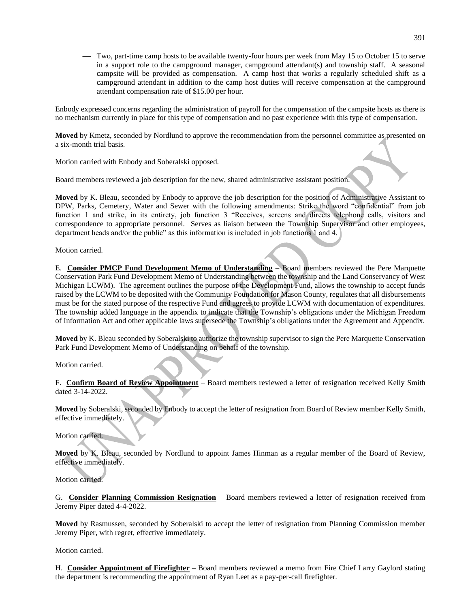⎯ Two, part-time camp hosts to be available twenty-four hours per week from May 15 to October 15 to serve in a support role to the campground manager, campground attendant(s) and township staff. A seasonal campsite will be provided as compensation. A camp host that works a regularly scheduled shift as a campground attendant in addition to the camp host duties will receive compensation at the campground attendant compensation rate of \$15.00 per hour.

Enbody expressed concerns regarding the administration of payroll for the compensation of the campsite hosts as there is no mechanism currently in place for this type of compensation and no past experience with this type of compensation.

**Moved** by Kmetz, seconded by Nordlund to approve the recommendation from the personnel committee as presented on a six-month trial basis.

Motion carried with Enbody and Soberalski opposed.

Board members reviewed a job description for the new, shared administrative assistant position.

**Moved** by K. Bleau, seconded by Enbody to approve the job description for the position of Administrative Assistant to DPW, Parks, Cemetery, Water and Sewer with the following amendments: Strike the word "confidential" from job function 1 and strike, in its entirety, job function 3 "Receives, screens and directs telephone calls, visitors and correspondence to appropriate personnel. Serves as liaison between the Township Supervisor and other employees, department heads and/or the public" as this information is included in job functions 1 and 4.

Motion carried.

E. **Consider PMCP Fund Development Memo of Understanding** – Board members reviewed the Pere Marquette Conservation Park Fund Development Memo of Understanding between the township and the Land Conservancy of West Michigan LCWM). The agreement outlines the purpose of the Development Fund, allows the township to accept funds raised by the LCWM to be deposited with the Community Foundation for Mason County, regulates that all disbursements must be for the stated purpose of the respective Fund and agrees to provide LCWM with documentation of expenditures. The township added language in the appendix to indicate that the Township's obligations under the Michigan Freedom of Information Act and other applicable laws supersede the Township's obligations under the Agreement and Appendix.

**Moved** by K. Bleau seconded by Soberalski to authorize the township supervisor to sign the Pere Marquette Conservation Park Fund Development Memo of Understanding on behalf of the township.

Motion carried.

F. **Confirm Board of Review Appointment** – Board members reviewed a letter of resignation received Kelly Smith dated 3-14-2022.

**Moved** by Soberalski, seconded by Enbody to accept the letter of resignation from Board of Review member Kelly Smith, effective immediately.

Motion carried.

**Moved** by K. Bleau, seconded by Nordlund to appoint James Hinman as a regular member of the Board of Review, effective immediately.

Motion carried.

G. **Consider Planning Commission Resignation** – Board members reviewed a letter of resignation received from Jeremy Piper dated 4-4-2022.

**Moved** by Rasmussen, seconded by Soberalski to accept the letter of resignation from Planning Commission member Jeremy Piper, with regret, effective immediately.

Motion carried.

H. **Consider Appointment of Firefighter** – Board members reviewed a memo from Fire Chief Larry Gaylord stating the department is recommending the appointment of Ryan Leet as a pay-per-call firefighter.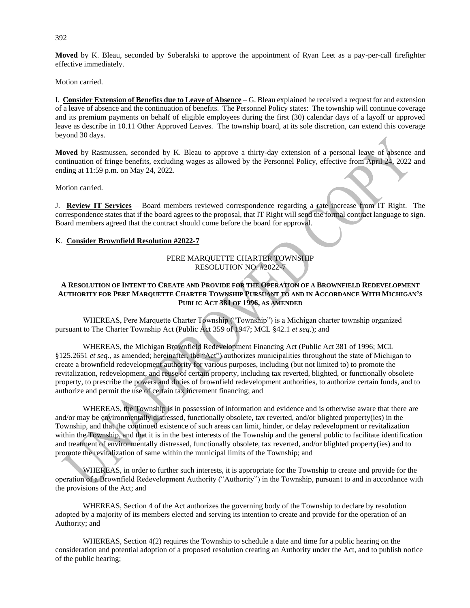**Moved** by K. Bleau, seconded by Soberalski to approve the appointment of Ryan Leet as a pay-per-call firefighter effective immediately.

Motion carried.

I. **Consider Extension of Benefits due to Leave of Absence** – G. Bleau explained he received a request for and extension of a leave of absence and the continuation of benefits. The Personnel Policy states: The township will continue coverage and its premium payments on behalf of eligible employees during the first (30) calendar days of a layoff or approved leave as describe in 10.11 Other Approved Leaves. The township board, at its sole discretion, can extend this coverage beyond 30 days.

**Moved** by Rasmussen, seconded by K. Bleau to approve a thirty-day extension of a personal leave of absence and continuation of fringe benefits, excluding wages as allowed by the Personnel Policy, effective from April 24, 2022 and ending at 11:59 p.m. on May 24, 2022.

Motion carried.

J. **Review IT Services** – Board members reviewed correspondence regarding a rate increase from IT Right. The correspondence states that if the board agrees to the proposal, that IT Right will send the formal contract language to sign. Board members agreed that the contract should come before the board for approval.

## K. **Consider Brownfield Resolution #2022-7**

# PERE MARQUETTE CHARTER TOWNSHIP RESOLUTION NO. #2022-7

# **A RESOLUTION OF INTENT TO CREATE AND PROVIDE FOR THE OPERATION OF A BROWNFIELD REDEVELOPMENT**  AUTHORITY FOR PERE MAROUETTE CHARTER TOWNSHIP PURSUANT TO AND IN ACCORDANCE WITH MICHIGAN'S **PUBLIC ACT 381 OF 1996, AS AMENDED**

WHEREAS, Pere Marquette Charter Township ("Township") is a Michigan charter township organized pursuant to The Charter Township Act (Public Act 359 of 1947; MCL §42.1 *et seq*.); and

WHEREAS, the Michigan Brownfield Redevelopment Financing Act (Public Act 381 of 1996; MCL §125.2651 *et seq*., as amended; hereinafter, the "Act") authorizes municipalities throughout the state of Michigan to create a brownfield redevelopment authority for various purposes, including (but not limited to) to promote the revitalization, redevelopment, and reuse of certain property, including tax reverted, blighted, or functionally obsolete property, to prescribe the powers and duties of brownfield redevelopment authorities, to authorize certain funds, and to authorize and permit the use of certain tax increment financing; and

WHEREAS, the Township is in possession of information and evidence and is otherwise aware that there are and/or may be environmentally distressed, functionally obsolete, tax reverted, and/or blighted property(ies) in the Township, and that the continued existence of such areas can limit, hinder, or delay redevelopment or revitalization within the Township, and that it is in the best interests of the Township and the general public to facilitate identification and treatment of environmentally distressed, functionally obsolete, tax reverted, and/or blighted property(ies) and to promote the revitalization of same within the municipal limits of the Township; and

WHEREAS, in order to further such interests, it is appropriate for the Township to create and provide for the operation of a Brownfield Redevelopment Authority ("Authority") in the Township, pursuant to and in accordance with the provisions of the Act; and

WHEREAS, Section 4 of the Act authorizes the governing body of the Township to declare by resolution adopted by a majority of its members elected and serving its intention to create and provide for the operation of an Authority; and

WHEREAS, Section 4(2) requires the Township to schedule a date and time for a public hearing on the consideration and potential adoption of a proposed resolution creating an Authority under the Act, and to publish notice of the public hearing;

392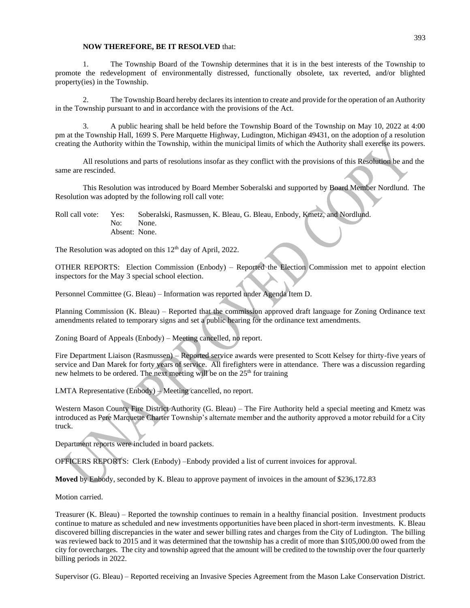### **NOW THEREFORE, BE IT RESOLVED** that:

1. The Township Board of the Township determines that it is in the best interests of the Township to promote the redevelopment of environmentally distressed, functionally obsolete, tax reverted, and/or blighted property(ies) in the Township.

2. The Township Board hereby declares its intention to create and provide for the operation of an Authority in the Township pursuant to and in accordance with the provisions of the Act.

3. A public hearing shall be held before the Township Board of the Township on May 10, 2022 at 4:00 pm at the Township Hall, 1699 S. Pere Marquette Highway, Ludington, Michigan 49431, on the adoption of a resolution creating the Authority within the Township, within the municipal limits of which the Authority shall exercise its powers.

All resolutions and parts of resolutions insofar as they conflict with the provisions of this Resolution be and the same are rescinded.

This Resolution was introduced by Board Member Soberalski and supported by Board Member Nordlund. The Resolution was adopted by the following roll call vote:

Roll call vote: Yes: Soberalski, Rasmussen, K. Bleau, G. Bleau, Enbody, Kmetz, and Nordlund. No: None. Absent: None.

The Resolution was adopted on this 12<sup>th</sup> day of April, 2022.

OTHER REPORTS: Election Commission (Enbody) – Reported the Election Commission met to appoint election inspectors for the May 3 special school election.

Personnel Committee (G. Bleau) – Information was reported under Agenda Item D.

Planning Commission (K. Bleau) – Reported that the commission approved draft language for Zoning Ordinance text amendments related to temporary signs and set a public hearing for the ordinance text amendments.

Zoning Board of Appeals (Enbody) – Meeting cancelled, no report.

Fire Department Liaison (Rasmussen) – Reported service awards were presented to Scott Kelsey for thirty-five years of service and Dan Marek for forty years of service. All firefighters were in attendance. There was a discussion regarding new helmets to be ordered. The next meeting will be on the 25<sup>th</sup> for training

LMTA Representative (Enbody) – Meeting cancelled, no report.

Western Mason County Fire District Authority (G. Bleau) – The Fire Authority held a special meeting and Kmetz was introduced as Pere Marquette Charter Township's alternate member and the authority approved a motor rebuild for a City truck.

Department reports were included in board packets.

OFFICERS REPORTS: Clerk (Enbody) –Enbody provided a list of current invoices for approval.

**Moved** by Enbody, seconded by K. Bleau to approve payment of invoices in the amount of \$236,172.83

Motion carried.

Treasurer (K. Bleau) – Reported the township continues to remain in a healthy financial position. Investment products continue to mature as scheduled and new investments opportunities have been placed in short-term investments. K. Bleau discovered billing discrepancies in the water and sewer billing rates and charges from the City of Ludington. The billing was reviewed back to 2015 and it was determined that the township has a credit of more than \$105,000.00 owed from the city for overcharges. The city and township agreed that the amount will be credited to the township over the four quarterly billing periods in 2022.

Supervisor (G. Bleau) – Reported receiving an Invasive Species Agreement from the Mason Lake Conservation District.